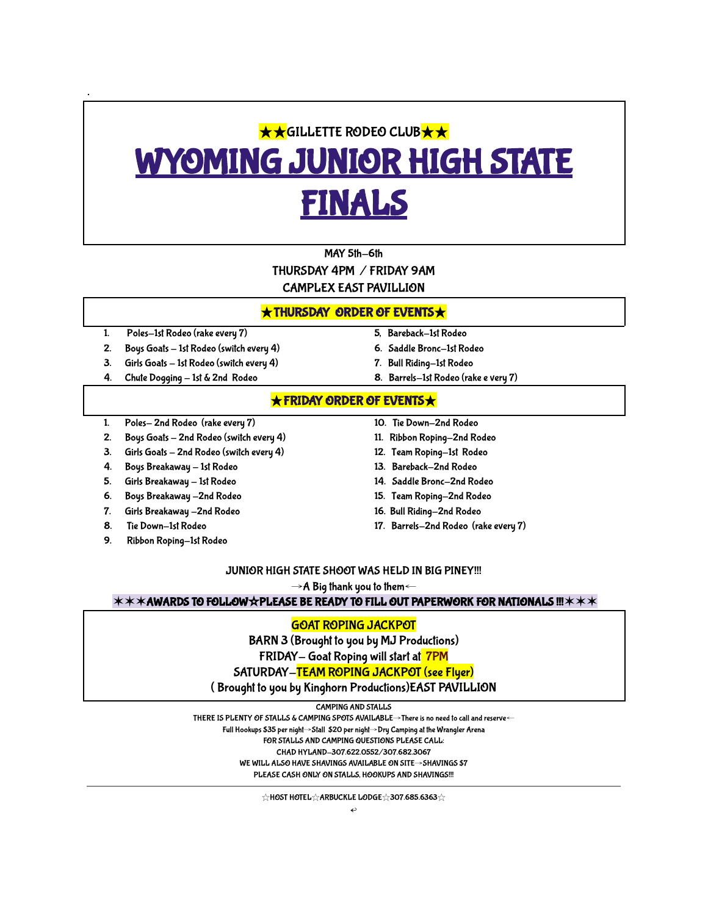# **★★GILLETTE RODEO CLUB★★** YOMING JUNIOR HIGH STATE FINALS

# MAY 5th-6th THURSDAY 4PM / FRIDAY 9AM CAMPLEX EAST PAVILLION

### ★THURSDAY ORDER OF EVENTS★

1. Poles-1st Rodeo (rake every 7) 5, Bareback-1st Rodeo

.

- 2. Boys Goats 1st Rodeo (switch every 4) 6. Saddle Bronc-1st Rodeo
- 3. Girls Goats 1st Rodeo (switch every 4) 7. Bull Riding-1st Rodeo
- 
- 
- 
- 
- 4. Chute Dogging 1st & 2nd Rodeo 8. Barrels-1st Rodeo (rake e very 7)

# ★FRIDAY ORDER OF EVENTS★

- 1. Poles- 2nd Rodeo (rake every 7) 10. Tie Down-2nd Rodeo
- 2. Boys Goats 2nd Rodeo (switch every 4) 11. Ribbon Roping-2nd Rodeo
- 3. Girls Goats 2nd Rodeo (switch every 4) 12. Team Roping-1st Rodeo
- 4. Boys Breakaway 1st Rodeo 13. Bareback-2nd Rodeo
- 5. Girls Breakaway 1st Rodeo 14. Saddle Bronc-2nd Rodeo
- 6. Boys Breakaway -2nd Rodeo 15. Team Roping-2nd Rodeo
- 
- 
- 9. Ribbon Roping-1st Rodeo
- 
- 
- 
- 
- 
- 
- 7. Girls Breakaway -2nd Rodeo 16. Bull Riding-2nd Rodeo
- 8. Tie Down-1st Rodeo 17. Barrels-2nd Rodeo (rake every 7)

#### JUNIOR HIGH STATE SHOOT WAS HELD IN BIG PINEY!!!

 $\rightarrow$  A Big thank you to them←

✶✶✶AWARDS TO FOLLOW☆PLEASE BE READY TO FILL OUT PAPERWORK FOR NATIONALS !!!✶✶✶

# GOAT ROPING JACKPOT

BARN 3 (Brought to you by MJ Productions)

FRIDAY- Goat Roping will start at 7PM

SATURDAY-TEAM ROPING JACKPOT (see Flyer)

( Brought to you by Kinghorn Productions)EAST PAVILLION

CAMPING AND STALLS

THERE IS PLENTY OF STALLS & CAMPING SPOTS AVAILABLE→There is no need to call and reserve← Full Hookups \$35 per night→Stall \$20 per night→Dry Camping at the Wrangler Arena FOR STALLS AND CAMPING QUESTIONS PLEASE CALL: CHAD HYLAND-307.622.0552/307.682.3067 WE WILL ALSO HAVE SHAVINGS AVAILABLE ON SITE→SHAVINGS \$7 PLEASE CASH ONLY ON STALLS, HOOKUPS AND SHAVINGS!!!

☆HOST HOTEL☆ARBUCKLE LODGE☆307.685.6363☆